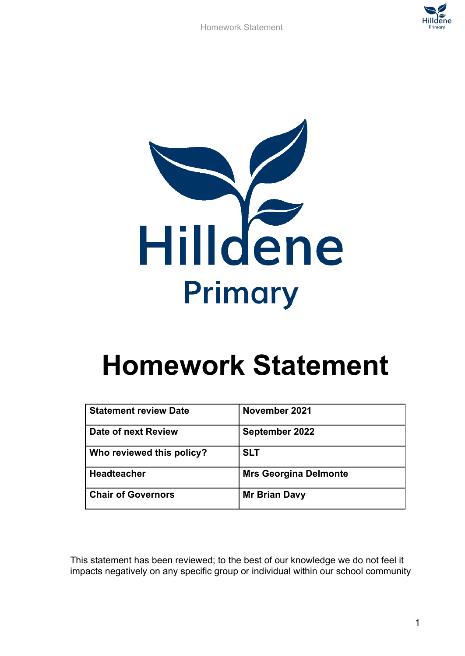

Homework Statement



## **Homework Statement**

| <b>Statement review Date</b> | November 2021                |
|------------------------------|------------------------------|
| Date of next Review          | September 2022               |
| Who reviewed this policy?    | <b>SLT</b>                   |
| <b>Headteacher</b>           | <b>Mrs Georgina Delmonte</b> |
| <b>Chair of Governors</b>    | <b>Mr Brian Davy</b>         |

This statement has been reviewed; to the best of our knowledge we do not feel it impacts negatively on any specific group or individual within our school community